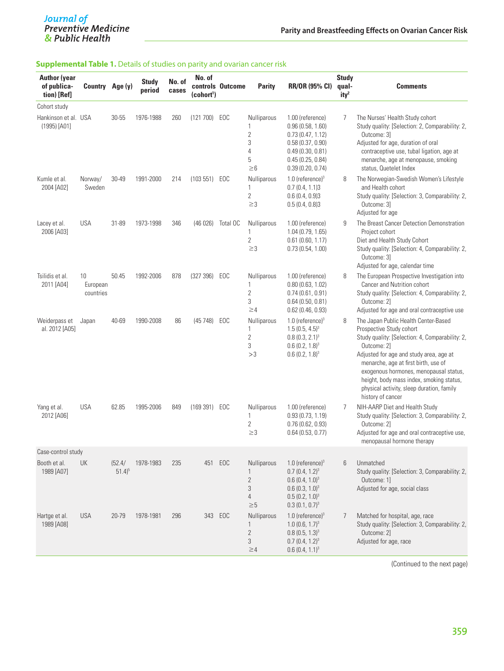# Journal of<br>Preventive Medicine<br>& Public Health

#### **Supplemental Table 1.** Details of studies on parity and ovarian cancer risk

| <b>Author (year</b><br>of publica-<br>tion) [Ref] | Country Age (y)             |                               | <b>Study</b><br>period | No. of<br>cases | No. of<br>(cohort <sup>1</sup> ) | controls Outcome | <b>Parity</b>                                                               | <b>RR/OR (95% CI)</b>                                                                                                                                | <b>Study</b><br>qual-<br>ity <sup>2</sup> | Comments                                                                                                                                                                                                                                                                                                                                                                      |
|---------------------------------------------------|-----------------------------|-------------------------------|------------------------|-----------------|----------------------------------|------------------|-----------------------------------------------------------------------------|------------------------------------------------------------------------------------------------------------------------------------------------------|-------------------------------------------|-------------------------------------------------------------------------------------------------------------------------------------------------------------------------------------------------------------------------------------------------------------------------------------------------------------------------------------------------------------------------------|
| Cohort study                                      |                             |                               |                        |                 |                                  |                  |                                                                             |                                                                                                                                                      |                                           |                                                                                                                                                                                                                                                                                                                                                                               |
| Hankinson et al. USA<br>(1995) [A01]              |                             | 30-55                         | 1976-1988              | 260             | (121 700)                        | EOC              | Nulliparous<br>1<br>$\sqrt{2}$<br>$\sqrt{3}$<br>$\sqrt{4}$<br>5<br>$\geq 6$ | 1.00 (reference)<br>0.96(0.58, 1.60)<br>0.73(0.47, 1.12)<br>0.58(0.37, 0.90)<br>0.49(0.30, 0.81)<br>0.45(0.25, 0.84)<br>0.39(0.20, 0.74)             | 7                                         | The Nurses' Health Study cohort<br>Study quality: [Selection: 2, Comparability: 2,<br>Outcome: 3]<br>Adjusted for age, duration of oral<br>contraceptive use, tubal ligation, age at<br>menarche, age at menopause, smoking<br>status, Quetelet Index                                                                                                                         |
| Kumle et al.<br>2004 [A02]                        | Norway/<br>Sweden           | 30-49                         | 1991-2000              | 214             | (103 551) EOC                    |                  | Nulliparous<br>1<br>$\overline{2}$<br>$\geq$ 3                              | 1.0 (reference) $3$<br>0.7(0.4, 1.1)3<br>0.6(0.4, 0.9)3<br>0.5(0.4, 0.8)3                                                                            | 8                                         | The Norwegian-Swedish Women's Lifestyle<br>and Health cohort<br>Study quality: [Selection: 3, Comparability: 2,<br>Outcome: 31<br>Adjusted for age                                                                                                                                                                                                                            |
| Lacey et al.<br>2006 [A03]                        | <b>USA</b>                  | 31-89                         | 1973-1998              | 346             | (46026)                          | Total OC         | Nulliparous<br>$\mathbf{1}$<br>$\sqrt{2}$<br>$\geq$ 3                       | 1.00 (reference)<br>1.04(0.79, 1.65)<br>0.61(0.60, 1.17)<br>0.73(0.54, 1.00)                                                                         | 9                                         | The Breast Cancer Detection Demonstration<br>Project cohort<br>Diet and Health Study Cohort<br>Study quality: [Selection: 4, Comparability: 2,<br>Outcome: 31<br>Adjusted for age, calendar time                                                                                                                                                                              |
| Tsilidis et al.<br>2011 [A04]                     | 10<br>European<br>countries | 50.45                         | 1992-2006              | 878             | (327 396)                        | EOC              | Nulliparous<br>1<br>$\sqrt{2}$<br>3<br>$\geq$ 4                             | 1.00 (reference)<br>0.80(0.63, 1.02)<br>0.74(0.61, 0.91)<br>0.64(0.50, 0.81)<br>$0.62$ (0.46, 0.93)                                                  | 8                                         | The European Prospective Investigation into<br>Cancer and Nutrition cohort<br>Study quality: [Selection: 4, Comparability: 2,<br>Outcome: 2]<br>Adjusted for age and oral contraceptive use                                                                                                                                                                                   |
| Weiderpass et<br>al. 2012 [A05]                   | Japan                       | 40-69                         | 1990-2008              | 86              | (45748)                          | EOC              | Nulliparous<br>1<br>$\sqrt{2}$<br>3<br>>3                                   | 1.0 (reference) $3$<br>$1.5(0.5, 4.5)^3$<br>$0.8(0.3, 2.1)^3$<br>$0.6(0.2, 1.8)^3$<br>$0.6(0.2, 1.8)^3$                                              | 8                                         | The Japan Public Health Center-Based<br>Prospective Study cohort<br>Study quality: [Selection: 4, Comparability: 2,<br>Outcome: 21<br>Adjusted for age and study area, age at<br>menarche, age at first birth, use of<br>exogenous hormones, menopausal status,<br>height, body mass index, smoking status,<br>physical activity, sleep duration, family<br>history of cancer |
| Yang et al.<br>2012 [A06]                         | <b>USA</b>                  | 62.85                         | 1995-2006              | 849             | (169 391) EOC                    |                  | Nulliparous<br>1<br>$\overline{2}$<br>$\geq$ 3                              | 1.00 (reference)<br>0.93(0.73, 1.19)<br>0.76(0.62, 0.93)<br>0.64(0.53, 0.77)                                                                         | 7                                         | NIH-AARP Diet and Health Study<br>Study quality: [Selection: 3, Comparability: 2,<br>Outcome: 2]<br>Adjusted for age and oral contraceptive use,<br>menopausal hormone therapy                                                                                                                                                                                                |
| Case-control study                                |                             |                               |                        |                 |                                  |                  |                                                                             |                                                                                                                                                      |                                           |                                                                                                                                                                                                                                                                                                                                                                               |
| Booth et al.<br>1989 [A07]                        | UK                          | (52.4/<br>$51.4$ <sup>5</sup> | 1978-1983              | 235             | 451                              | EOC              | Nulliparous<br>1<br>$\overline{2}$<br>3<br>$\overline{4}$<br>$\geq 5$       | 1.0 (reference) $3$<br>$0.7$ (0.4, 1.2) <sup>3</sup><br>$0.6(0.4, 1.0)^3$<br>$0.6$ (0.3, 1.0) <sup>3</sup><br>$0.5(0.2, 1.0)^3$<br>$0.3(0.1, 0.7)^3$ | 6                                         | Unmatched<br>Study quality: [Selection: 3, Comparability: 2,<br>Outcome: 11<br>Adjusted for age, social class                                                                                                                                                                                                                                                                 |
| Hartge et al.<br>1989 [A08]                       | <b>USA</b>                  | 20-79                         | 1978-1981              | 296             | 343                              | EOC              | Nulliparous<br>1<br>$\mathbf{2}$<br>$\sqrt{3}$<br>$\geq$ 4                  | 1.0 (reference) $3$<br>1.0 $(0.6, 1.7)^3$<br>$0.8(0.5, 1.3)^3$<br>$0.7$ (0.4, 1.2) <sup>3</sup><br>$0.6(0.4, 1.1)^3$                                 | 7                                         | Matched for hospital, age, race<br>Study quality: [Selection: 3, Comparability: 2,<br>Outcome: 2]<br>Adjusted for age, race                                                                                                                                                                                                                                                   |

(Continued to the next page)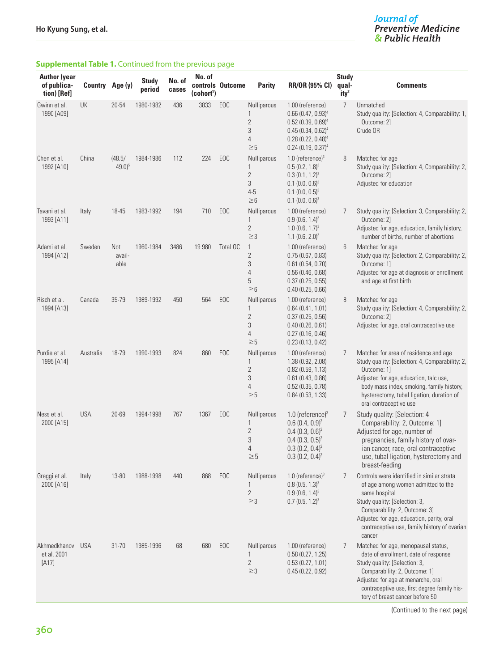# J<mark>ournal of</mark><br>Preventive Medicine<br>& Public Health

## **Supplemental Table 1.** Continued from the previous page

| <b>Author (year</b><br>of publica-<br>tion) [Ref] | Country Age (y) |                               | <b>Study</b><br>period | No. of<br>cases | No. of<br>(cohort <sup>1</sup> ) | controls Outcome | <b>Parity</b>                                             | <b>RR/OR (95% CI)</b>                                                                                                                                            | <b>Study</b><br>qual-<br>ity <sup>2</sup> | <b>Comments</b>                                                                                                                                                                                                                                                            |
|---------------------------------------------------|-----------------|-------------------------------|------------------------|-----------------|----------------------------------|------------------|-----------------------------------------------------------|------------------------------------------------------------------------------------------------------------------------------------------------------------------|-------------------------------------------|----------------------------------------------------------------------------------------------------------------------------------------------------------------------------------------------------------------------------------------------------------------------------|
| Gwinn et al.<br>1990 [A09]                        | UK              | 20-54                         | 1980-1982              | 436             | 3833                             | EOC              | Nulliparous<br>1<br>$\overline{2}$<br>3<br>4<br>$\geq 5$  | 1.00 (reference)<br>$0.66(0.47, 0.93)^4$<br>$0.52(0.39, 0.69)^4$<br>$0.45(0.34, 0.62)^4$<br>$0.28(0.22, 0.48)^4$<br>$0.24(0.19, 0.37)^4$                         | $\overline{7}$                            | Unmatched<br>Study quality: [Selection: 4, Comparability: 1,<br>Outcome: 2]<br>Crude OR                                                                                                                                                                                    |
| Chen et al.<br>1992 [A10]                         | China           | (48.5/<br>$49.0$ <sup>5</sup> | 1984-1986              | 112             | 224                              | EOC              | Nulliparous<br>1<br>2<br>3<br>$4 - 5$<br>$\geq 6$         | 1.0 (reference) $3$<br>$0.5(0.2, 1.8)^3$<br>$0.3(0.1, 1.2)^3$<br>$0.1$ (0.0, 0.6) <sup>3</sup><br>$0.1$ (0.0, 0.5) <sup>3</sup><br>$0.1$ (0.0, 0.6) <sup>3</sup> | 8                                         | Matched for age<br>Study quality: [Selection: 4, Comparability: 2,<br>Outcome: 2]<br>Adjusted for education                                                                                                                                                                |
| Tavani et al.<br>1993 [A11]                       | Italy           | 18-45                         | 1983-1992              | 194             | 710                              | EOC              | Nulliparous<br>1<br>$\overline{2}$<br>$\geq$ 3            | 1.00 (reference)<br>$0.9(0.6, 1.4)^3$<br>$1.0$ (0.6, $1.7$ ) <sup>3</sup><br>1.1 (0.6, 2.0) <sup>3</sup>                                                         | 7                                         | Study quality: [Selection: 3, Comparability: 2,<br>Outcome: 21<br>Adjusted for age, education, family history,<br>number of births, number of abortions                                                                                                                    |
| Adami et al.<br>1994 [A12]                        | Sweden          | Not<br>avail-<br>able         | 1960-1984              | 3486            | 19 980                           | Total OC         | $\mathbf{1}$<br>$\overline{2}$<br>3<br>4<br>5<br>$\geq 6$ | 1.00 (reference)<br>0.75(0.67, 0.83)<br>0.61(0.54, 0.70)<br>0.56(0.46, 0.68)<br>0.37(0.25, 0.55)<br>0.40(0.25, 0.66)                                             | 6                                         | Matched for age<br>Study quality: [Selection: 2, Comparability: 2,<br>Outcome: 11<br>Adjusted for age at diagnosis or enrollment<br>and age at first birth                                                                                                                 |
| Risch et al.<br>1994 [A13]                        | Canada          | 35-79                         | 1989-1992              | 450             | 564                              | EOC              | Nulliparous<br>1<br>$\overline{c}$<br>3<br>4<br>$\geq 5$  | 1.00 (reference)<br>0.64(0.41, 1.01)<br>0.37(0.25, 0.56)<br>0.40(0.26, 0.61)<br>0.27(0.16, 0.46)<br>0.23(0.13, 0.42)                                             | 8                                         | Matched for age<br>Study quality: [Selection: 4, Comparability: 2,<br>Outcome: 2]<br>Adjusted for age, oral contraceptive use                                                                                                                                              |
| Purdie et al.<br>1995 [A14]                       | Australia       | 18-79                         | 1990-1993              | 824             | 860                              | EOC              | Nulliparous<br>1<br>$\overline{c}$<br>3<br>4<br>$\geq\!5$ | 1.00 (reference)<br>1.38 (0.92, 2.08)<br>0.82(0.59, 1.13)<br>0.61(0.43, 0.86)<br>0.52(0.35, 0.78)<br>0.84(0.53, 1.33)                                            | 7                                         | Matched for area of residence and age<br>Study quality: [Selection: 4, Comparability: 2,<br>Outcome: 1]<br>Adjusted for age, education, talc use,<br>body mass index, smoking, family history,<br>hysterectomy, tubal ligation, duration of<br>oral contraceptive use      |
| Ness et al.<br>2000 [A15]                         | USA.            | 20-69                         | 1994-1998              | 767             | 1367                             | EOC              | Nulliparous<br>1<br>$\overline{c}$<br>3<br>4<br>$\geq 5$  | 1.0 (reference) $3$<br>$0.6(0.4, 0.9)^3$<br>$0.4(0.3, 0.6)^3$<br>$0.4(0.3, 0.5)^3$<br>$0.3(0.2, 0.4)^3$<br>$0.3(0.2, 0.4)^3$                                     | 7                                         | Study quality: [Selection: 4<br>Comparability: 2, Outcome: 1]<br>Adjusted for age, number of<br>pregnancies, family history of ovar-<br>ian cancer, race, oral contraceptive<br>use, tubal ligation, hysterectomy and<br>breast-feeding                                    |
| Greggi et al.<br>2000 [A16]                       | Italy           | 13-80                         | 1988-1998              | 440             | 868                              | EOC              | Nulliparous<br>1<br>2<br>$\geq$ 3                         | 1.0 (reference) $3$<br>$0.8(0.5, 1.3)^3$<br>$0.9(0.6, 1.4)^3$<br>$0.7$ (0.5, 1.2) <sup>3</sup>                                                                   | 7                                         | Controls were identified in similar strata<br>of age among women admitted to the<br>same hospital<br>Study quality: [Selection: 3,<br>Comparability: 2, Outcome: 3]<br>Adjusted for age, education, parity, oral<br>contraceptive use, family history of ovarian<br>cancer |
| Akhmedkhanov<br>et al. 2001<br>$[A17]$            | <b>USA</b>      | 31-70                         | 1985-1996              | 68              | 680                              | EOC              | Nulliparous<br>1<br>$\overline{2}$<br>$\geq$ 3            | 1.00 (reference)<br>0.58(0.27, 1.25)<br>0.53(0.27, 1.01)<br>0.45(0.22, 0.92)                                                                                     | 7                                         | Matched for age, menopausal status,<br>date of enrollment, date of response<br>Study quality: [Selection: 3,<br>Comparability: 2, Outcome: 1]<br>Adjusted for age at menarche, oral<br>contraceptive use, first degree family his-<br>tory of breast cancer before 50      |

(Continued to the next page)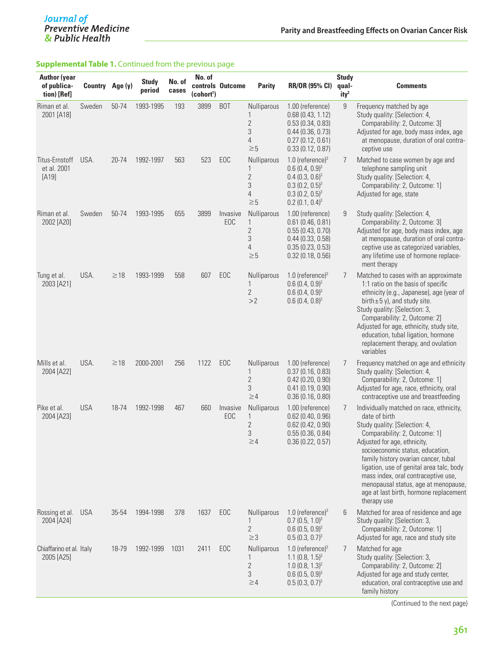## **Supplemental Table 1.** Continued from the previous page

| <b>Author (year</b><br>of publica-<br>tion) [Ref] | Country Age (y) |           | <b>Study</b><br>period | No. of<br>cases | No. of<br>(cohort <sup>1</sup> ) | controls Outcome | <b>Parity</b>                                                                             | <b>RR/OR (95% CI)</b>                                                                                                        | <b>Study</b><br>qual-<br>ity <sup>2</sup> | <b>Comments</b>                                                                                                                                                                                                                                                                                                                                                                                                             |
|---------------------------------------------------|-----------------|-----------|------------------------|-----------------|----------------------------------|------------------|-------------------------------------------------------------------------------------------|------------------------------------------------------------------------------------------------------------------------------|-------------------------------------------|-----------------------------------------------------------------------------------------------------------------------------------------------------------------------------------------------------------------------------------------------------------------------------------------------------------------------------------------------------------------------------------------------------------------------------|
| Riman et al.<br>2001 [A18]                        | Sweden          | 50-74     | 1993-1995              | 193             | 3899                             | B <sub>O</sub> T | Nulliparous<br>1<br>$\overline{2}$<br>$\sqrt{3}$<br>4<br>$\geq 5$                         | 1.00 (reference)<br>0.68(0.43, 1.12)<br>0.53(0.34, 0.83)<br>0.44(0.36, 0.73)<br>0.27(0.12, 0.61)<br>0.33(0.12, 0.87)         | 9                                         | Frequency matched by age<br>Study quality: [Selection: 4,<br>Comparability: 2, Outcome: 3]<br>Adjusted for age, body mass index, age<br>at menopause, duration of oral contra-<br>ceptive use                                                                                                                                                                                                                               |
| Titus-Ernstoff<br>et al. 2001<br>$[A19]$          | USA.            | 20-74     | 1992-1997              | 563             | 523                              | EOC              | Nulliparous<br>1<br>$\sqrt{2}$<br>$\mathfrak{Z}$<br>4<br>$\geq 5$                         | 1.0 (reference) $3$<br>$0.6(0.4, 0.9)^3$<br>$0.4(0.3, 0.6)^3$<br>$0.3(0.2, 0.5)^3$<br>$0.3(0.2, 0.5)^3$<br>$0.2(0.1, 0.4)^3$ | 7                                         | Matched to case women by age and<br>telephone sampling unit<br>Study quality: [Selection: 4,<br>Comparability: 2, Outcome: 1]<br>Adjusted for age, state                                                                                                                                                                                                                                                                    |
| Riman et al.<br>2002 [A20]                        | Sweden          | 50-74     | 1993-1995              | 655             | 3899                             | Invasive<br>EOC  | Nulliparous<br>$\mathbf{1}$<br>$\overline{2}$<br>$\sqrt{3}$<br>$\overline{4}$<br>$\geq 5$ | 1.00 (reference)<br>0.61(0.46, 0.81)<br>0.55(0.43, 0.70)<br>0.44(0.33, 0.58)<br>0.35(0.23, 0.53)<br>0.32(0.18, 0.56)         | 9                                         | Study quality: [Selection: 4,<br>Comparability: 2, Outcome: 3]<br>Adjusted for age, body mass index, age<br>at menopause, duration of oral contra-<br>ceptive use as categorized variables,<br>any lifetime use of hormone replace-<br>ment therapy                                                                                                                                                                         |
| Tung et al.<br>2003 [A21]                         | USA.            | $\geq$ 18 | 1993-1999              | 558             | 607                              | EOC              | Nulliparous<br>1<br>$\overline{2}$<br>>2                                                  | 1.0 (reference) $3$<br>$0.6(0.4, 0.9)^3$<br>$0.6(0.4, 0.9)^3$<br>$0.6(0.4, 0.8)^3$                                           | $\overline{7}$                            | Matched to cases with an approximate<br>1:1 ratio on the basis of specific<br>ethnicity (e.g., Japanese), age (year of<br>birth $\pm$ 5 y), and study site.<br>Study quality: [Selection: 3,<br>Comparability: 2, Outcome: 2]<br>Adjusted for age, ethnicity, study site,<br>education, tubal ligation, hormone<br>replacement therapy, and ovulation<br>variables                                                          |
| Mills et al.<br>2004 [A22]                        | USA.            | $\geq$ 18 | 2000-2001              | 256             | 1122                             | EOC              | Nulliparous<br>$\mathbf{1}$<br>$\overline{2}$<br>$\sqrt{3}$<br>$\geq$ 4                   | 1.00 (reference)<br>0.37(0.16, 0.83)<br>0.42(0.20, 0.90)<br>0.41(0.19, 0.90)<br>0.36(0.16, 0.80)                             | 7                                         | Frequency matched on age and ethnicity<br>Study quality: [Selection: 4,<br>Comparability: 2, Outcome: 1]<br>Adjusted for age, race, ethnicity, oral<br>contraceptive use and breastfeeding                                                                                                                                                                                                                                  |
| Pike et al.<br>2004 [A23]                         | <b>USA</b>      | 18-74     | 1992-1998              | 467             | 660                              | Invasive<br>EOC  | Nulliparous<br>1<br>$\overline{2}$<br>$\sqrt{3}$<br>$\geq$ 4                              | 1.00 (reference)<br>0.62(0.40, 0.96)<br>0.62(0.42, 0.90)<br>0.55(0.36, 0.84)<br>0.36(0.22, 0.57)                             | 7                                         | Individually matched on race, ethnicity,<br>date of birth<br>Study quality: [Selection: 4,<br>Comparability: 2, Outcome: 1]<br>Adjusted for age, ethnicity,<br>socioeconomic status, education,<br>family history ovarian cancer, tubal<br>ligation, use of genital area talc, body<br>mass index, oral contraceptive use,<br>menopausal status, age at menopause,<br>age at last birth, hormone replacement<br>therapy use |
| Rossing et al.<br>2004 [A24]                      | <b>USA</b>      | 35-54     | 1994-1998              | 378             | 1637                             | EOC              | Nulliparous<br>1<br>$\overline{2}$<br>$\geq$ 3                                            | 1.0 (reference) $3$<br>$0.7(0.5, 1.0)^3$<br>$0.6(0.5, 0.9)^3$<br>$0.5(0.3, 0.7)^3$                                           | 6                                         | Matched for area of residence and age<br>Study quality: [Selection: 3,<br>Comparability: 2, Outcome: 1]<br>Adjusted for age, race and study site                                                                                                                                                                                                                                                                            |
| Chiaffarino et al. Italy<br>2005 [A25]            |                 | 18-79     | 1992-1999              | 1031            | 2411                             | EOC              | Nulliparous<br>1<br>$\overline{2}$<br>3<br>$\geq 4$                                       | 1.0 (reference) $3$<br>$1.1(0.8, 1.5)^3$<br>$1.0(0.8, 1.3)^3$<br>$0.6(0.5, 0.9)^3$<br>$0.5(0.3, 0.7)^3$                      | 7                                         | Matched for age<br>Study quality: [Selection: 3,<br>Comparability: 2, Outcome: 2]<br>Adjusted for age and study center,<br>education, oral contraceptive use and<br>family history                                                                                                                                                                                                                                          |

(Continued to the next page)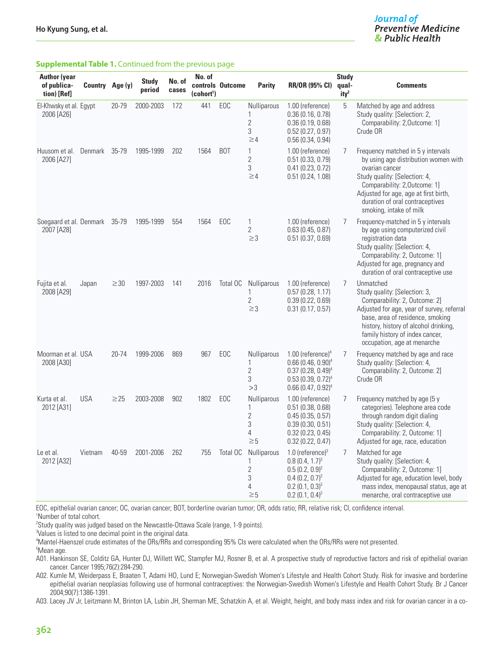#### Journal of **Preventive Medicine** & Public Health

#### **Supplemental Table 1.** Continued from the previous page

| <b>Author (year</b><br>of publica-<br>tion) [Ref] | Country Age (y) |           | <b>Study</b><br>period | No. of<br>cases | No. of<br>(cohort <sup>1</sup> ) | controls Outcome | <b>Parity</b>                                                         | <b>RR/OR (95% CI)</b>                                                                                                                                  | <b>Study</b><br>qual-<br>ity <sup>2</sup> | <b>Comments</b>                                                                                                                                                                                                                                                          |
|---------------------------------------------------|-----------------|-----------|------------------------|-----------------|----------------------------------|------------------|-----------------------------------------------------------------------|--------------------------------------------------------------------------------------------------------------------------------------------------------|-------------------------------------------|--------------------------------------------------------------------------------------------------------------------------------------------------------------------------------------------------------------------------------------------------------------------------|
| El-Khwsky et al. Egypt<br>2006 [A26]              |                 | 20-79     | 2000-2003              | 172             | 441                              | EOC              | Nulliparous<br>1<br>$\overline{2}$<br>3<br>$\geq 4$                   | 1.00 (reference)<br>0.36(0.16, 0.78)<br>0.36(0.19, 0.68)<br>0.52(0.27, 0.97)<br>0.56(0.34, 0.94)                                                       | 5                                         | Matched by age and address<br>Study quality: [Selection: 2,<br>Comparability: 2, Outcome: 1]<br>Crude OR                                                                                                                                                                 |
| Huusom et al. Denmark 35-79<br>2006 [A27]         |                 |           | 1995-1999              | 202             | 1564                             | <b>BOT</b>       | 1<br>$\overline{2}$<br>3<br>$\geq 4$                                  | 1.00 (reference)<br>0.51(0.33, 0.79)<br>0.41(0.23, 0.72)<br>0.51(0.24, 1.08)                                                                           | 7                                         | Frequency matched in 5 y intervals<br>by using age distribution women with<br>ovarian cancer<br>Study quality: [Selection: 4,<br>Comparability: 2, Outcome: 1]<br>Adjusted for age, age at first birth,<br>duration of oral contraceptives<br>smoking, intake of milk    |
| Soegaard et al. Denmark 35-79<br>2007 [A28]       |                 |           | 1995-1999              | 554             | 1564                             | EOC              | 1<br>$\overline{2}$<br>$\geq$ 3                                       | 1.00 (reference)<br>0.63(0.45, 0.87)<br>0.51(0.37, 0.69)                                                                                               | 7                                         | Frequency-matched in 5 y intervals<br>by age using computerized civil<br>registration data<br>Study quality: [Selection: 4,<br>Comparability: 2, Outcome: 1]<br>Adjusted for age, pregnancy and<br>duration of oral contraceptive use                                    |
| Fujita et al.<br>2008 [A29]                       | Japan           | $\geq$ 30 | 1997-2003              | 141             | 2016                             | Total OC         | <b>Nulliparous</b><br>1<br>$\overline{2}$<br>$\geq$ 3                 | 1.00 (reference)<br>0.57(0.28, 1.17)<br>0.39(0.22, 0.69)<br>0.31(0.17, 0.57)                                                                           | $\overline{7}$                            | Unmatched<br>Study quality: [Selection: 3,<br>Comparability: 2, Outcome: 2]<br>Adjusted for age, year of survey, referral<br>base, area of residence, smoking<br>history, history of alcohol drinking,<br>family history of index cancer,<br>occupation, age at menarche |
| Moorman et al. USA<br>2008 [A30]                  |                 | 20-74     | 1999-2006              | 869             | 967                              | EOC              | Nulliparous<br>1<br>$\overline{2}$<br>3<br>>3                         | $1.00$ (reference) <sup>4</sup><br>$0.66(0.46, 0.90)^4$<br>$0.37(0.28, 0.49)^4$<br>$0.53(0.39, 0.72)^4$<br>$0.66(0.47, 0.92)^4$                        | 7                                         | Frequency matched by age and race<br>Study quality: [Selection: 4,<br>Comparability: 2, Outcome: 2]<br>Crude OR                                                                                                                                                          |
| Kurta et al.<br>2012 [A31]                        | <b>USA</b>      | $\geq$ 25 | 2003-2008              | 902             | 1802                             | EOC              | Nulliparous<br>1<br>$\overline{2}$<br>3<br>4<br>$\geq\!5$             | 1.00 (reference)<br>0.51(0.38, 0.68)<br>0.45(0.35, 0.57)<br>0.39(0.30, 0.51)<br>0.32(0.23, 0.45)<br>0.32(0.22, 0.47)                                   | 7                                         | Frequency matched by age (5 y<br>categories). Telephone area code<br>through random digit dialing<br>Study quality: [Selection: 4,<br>Comparability: 2, Outcome: 1]<br>Adjusted for age, race, education                                                                 |
| Le et al.<br>2012 [A32]                           | Vietnam         | 40-59     | 2001-2006              | 262             | 755                              | Total OC         | Nulliparous<br>1<br>$\overline{2}$<br>3<br>$\overline{4}$<br>$\geq 5$ | 1.0 (reference) $3$<br>$0.8(0.4, 1.7)^3$<br>$0.5(0.2, 0.9)^3$<br>$0.4$ (0.2, 0.7) <sup>3</sup><br>$0.2(0.1, 0.3)^{3}$<br>$0.2$ (0.1, 0.4) <sup>3</sup> | 7                                         | Matched for age<br>Study quality: [Selection: 4,<br>Comparability: 2, Outcome: 1]<br>Adjusted for age, education level, body<br>mass index, menopausal status, age at<br>menarche, oral contraceptive use                                                                |

EOC, epithelial ovarian cancer; OC, ovarian cancer; BOT, borderline ovarian tumor; OR, odds ratio; RR, relative risk; CI, confidence interval. 1 Number of total cohort.

2 Study quality was judged based on the Newcastle-Ottawa Scale (range, 1-9 points).

3 Values is listed to one decimal point in the original data.

4 Mantel-Haenszel crude estimates of the ORs/RRs and corresponding 95% CIs were calculated when the ORs/RRs were not presented. 5 Mean age.

A01. Hankinson SE, Colditz GA, Hunter DJ, Willett WC, Stampfer MJ, Rosner B, et al. A prospective study of reproductive factors and risk of epithelial ovarian cancer. Cancer 1995;76(2):284-290.

A02. Kumle M, Weiderpass E, Braaten T, Adami HO, Lund E; Norwegian-Swedish Women's Lifestyle and Health Cohort Study. Risk for invasive and borderline epithelial ovarian neoplasias following use of hormonal contraceptives: the Norwegian-Swedish Women's Lifestyle and Health Cohort Study. Br J Cancer 2004;90(7):1386-1391.

A03. Lacey JV Jr, Leitzmann M, Brinton LA, Lubin JH, Sherman ME, Schatzkin A, et al. Weight, height, and body mass index and risk for ovarian cancer in a co-